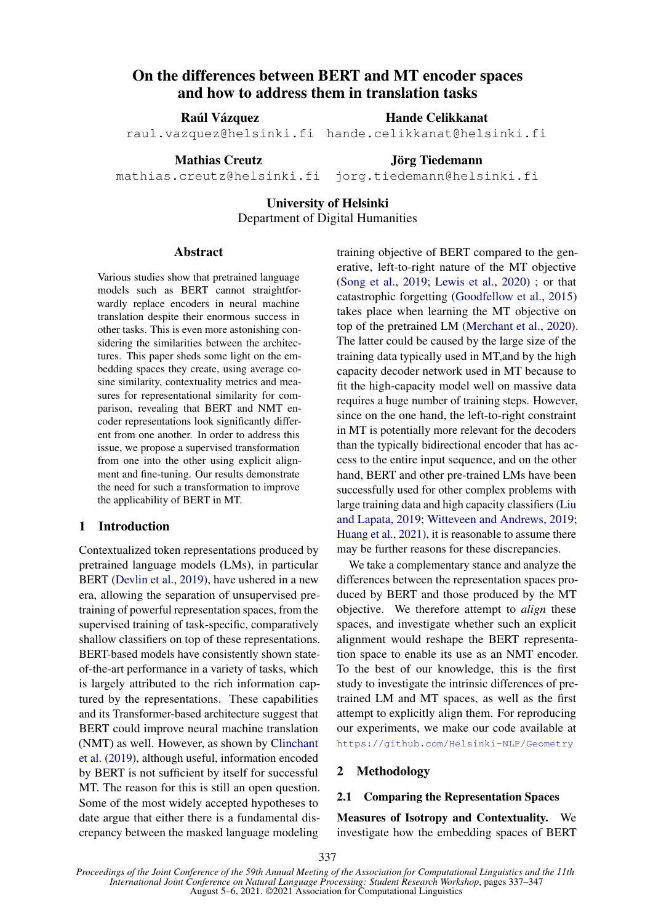# On the differences between BERT and MT encoder spaces and how to address them in translation tasks

Raúl Vázquez

raul.vazquez@helsinki.fi

Mathias Creutz

Jörg Tiedemann

Hande Celikkanat hande.celikkanat@helsinki.fi

mathias.creutz@helsinki.fi jorg.tiedemann@helsinki.fi

# University of Helsinki

Department of Digital Humanities

## Abstract

Various studies show that pretrained language models such as BERT cannot straightforwardly replace encoders in neural machine translation despite their enormous success in other tasks. This is even more astonishing considering the similarities between the architectures. This paper sheds some light on the embedding spaces they create, using average cosine similarity, contextuality metrics and measures for representational similarity for comparison, revealing that BERT and NMT encoder representations look significantly different from one another. In order to address this issue, we propose a supervised transformation from one into the other using explicit alignment and fine-tuning. Our results demonstrate the need for such a transformation to improve the applicability of BERT in MT.

# 1 Introduction

Contextualized token representations produced by pretrained language models (LMs), in particular BERT [\(Devlin et al.,](#page-9-0) [2019\)](#page-9-0), have ushered in a new era, allowing the separation of unsupervised pretraining of powerful representation spaces, from the supervised training of task-specific, comparatively shallow classifiers on top of these representations. BERT-based models have consistently shown stateof-the-art performance in a variety of tasks, which is largely attributed to the rich information captured by the representations. These capabilities and its Transformer-based architecture suggest that BERT could improve neural machine translation (NMT) as well. However, as shown by [Clinchant](#page-8-0) [et al.](#page-8-0) [\(2019\)](#page-8-0), although useful, information encoded by BERT is not sufficient by itself for successful MT. The reason for this is still an open question. Some of the most widely accepted hypotheses to date argue that either there is a fundamental discrepancy between the masked language modeling

training objective of BERT compared to the generative, left-to-right nature of the MT objective [\(Song et al.,](#page-10-0) [2019;](#page-10-0) [Lewis et al.,](#page-9-1) [2020\)](#page-9-1) ; or that catastrophic forgetting [\(Goodfellow et al.,](#page-9-2) [2015\)](#page-9-2) takes place when learning the MT objective on top of the pretrained LM [\(Merchant et al.,](#page-9-3) [2020\)](#page-9-3). The latter could be caused by the large size of the training data typically used in MT,and by the high capacity decoder network used in MT because to fit the high-capacity model well on massive data requires a huge number of training steps. However, since on the one hand, the left-to-right constraint in MT is potentially more relevant for the decoders than the typically bidirectional encoder that has access to the entire input sequence, and on the other hand, BERT and other pre-trained LMs have been successfully used for other complex problems with large training data and high capacity classifiers [\(Liu](#page-9-4) [and Lapata,](#page-9-4) [2019;](#page-9-4) [Witteveen and Andrews,](#page-10-1) [2019;](#page-10-1) [Huang et al.,](#page-9-5) [2021\)](#page-9-5), it is reasonable to assume there may be further reasons for these discrepancies.

We take a complementary stance and analyze the differences between the representation spaces produced by BERT and those produced by the MT objective. We therefore attempt to *align* these spaces, and investigate whether such an explicit alignment would reshape the BERT representation space to enable its use as an NMT encoder. To the best of our knowledge, this is the first study to investigate the intrinsic differences of pretrained LM and MT spaces, as well as the first attempt to explicitly align them. For reproducing our experiments, we make our code available at <https://github.com/Helsinki-NLP/Geometry>

#### 2 Methodology

# 2.1 Comparing the Representation Spaces

Measures of Isotropy and Contextuality. We investigate how the embedding spaces of BERT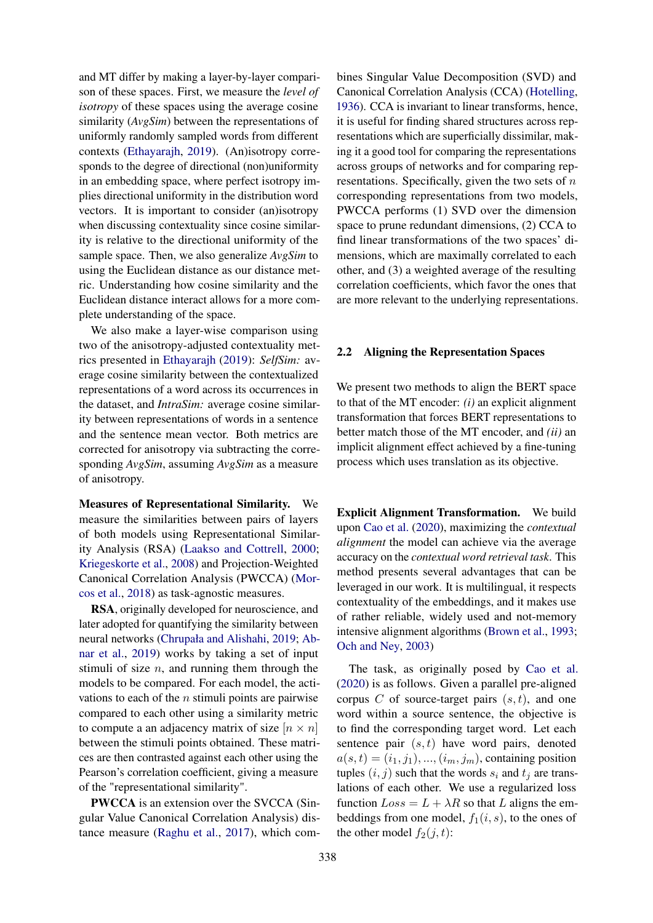and MT differ by making a layer-by-layer comparison of these spaces. First, we measure the *level of isotropy* of these spaces using the average cosine similarity (*AvgSim*) between the representations of uniformly randomly sampled words from different contexts [\(Ethayarajh,](#page-9-6) [2019\)](#page-9-6). (An)isotropy corresponds to the degree of directional (non)uniformity in an embedding space, where perfect isotropy implies directional uniformity in the distribution word vectors. It is important to consider (an)isotropy when discussing contextuality since cosine similarity is relative to the directional uniformity of the sample space. Then, we also generalize *AvgSim* to using the Euclidean distance as our distance metric. Understanding how cosine similarity and the Euclidean distance interact allows for a more complete understanding of the space.

We also make a layer-wise comparison using two of the anisotropy-adjusted contextuality metrics presented in [Ethayarajh](#page-9-6) [\(2019\)](#page-9-6): *SelfSim:* average cosine similarity between the contextualized representations of a word across its occurrences in the dataset, and *IntraSim:* average cosine similarity between representations of words in a sentence and the sentence mean vector. Both metrics are corrected for anisotropy via subtracting the corresponding *AvgSim*, assuming *AvgSim* as a measure of anisotropy.

Measures of Representational Similarity. We measure the similarities between pairs of layers of both models using Representational Similarity Analysis (RSA) [\(Laakso and Cottrell,](#page-9-7) [2000;](#page-9-7) [Kriegeskorte et al.,](#page-9-8) [2008\)](#page-9-8) and Projection-Weighted Canonical Correlation Analysis (PWCCA) [\(Mor](#page-10-2)[cos et al.,](#page-10-2) [2018\)](#page-10-2) as task-agnostic measures.

RSA, originally developed for neuroscience, and later adopted for quantifying the similarity between neural networks [\(Chrupała and Alishahi,](#page-8-1) [2019;](#page-8-1) [Ab](#page-8-2)[nar et al.,](#page-8-2) [2019\)](#page-8-2) works by taking a set of input stimuli of size  $n$ , and running them through the models to be compared. For each model, the activations to each of the  $n$  stimuli points are pairwise compared to each other using a similarity metric to compute a an adjacency matrix of size  $[n \times n]$ between the stimuli points obtained. These matrices are then contrasted against each other using the Pearson's correlation coefficient, giving a measure of the "representational similarity".

PWCCA is an extension over the SVCCA (Singular Value Canonical Correlation Analysis) distance measure [\(Raghu et al.,](#page-10-3) [2017\)](#page-10-3), which combines Singular Value Decomposition (SVD) and Canonical Correlation Analysis (CCA) [\(Hotelling,](#page-9-9) [1936\)](#page-9-9). CCA is invariant to linear transforms, hence, it is useful for finding shared structures across representations which are superficially dissimilar, making it a good tool for comparing the representations across groups of networks and for comparing representations. Specifically, given the two sets of  $n$ corresponding representations from two models, PWCCA performs (1) SVD over the dimension space to prune redundant dimensions, (2) CCA to find linear transformations of the two spaces' dimensions, which are maximally correlated to each other, and (3) a weighted average of the resulting correlation coefficients, which favor the ones that are more relevant to the underlying representations.

## <span id="page-1-0"></span>2.2 Aligning the Representation Spaces

We present two methods to align the BERT space to that of the MT encoder: *(i)* an explicit alignment transformation that forces BERT representations to better match those of the MT encoder, and *(ii)* an implicit alignment effect achieved by a fine-tuning process which uses translation as its objective.

Explicit Alignment Transformation. We build upon [Cao et al.](#page-8-3) [\(2020\)](#page-8-3), maximizing the *contextual alignment* the model can achieve via the average accuracy on the *contextual word retrieval task*. This method presents several advantages that can be leveraged in our work. It is multilingual, it respects contextuality of the embeddings, and it makes use of rather reliable, widely used and not-memory intensive alignment algorithms [\(Brown et al.,](#page-8-4) [1993;](#page-8-4) [Och and Ney,](#page-10-4) [2003\)](#page-10-4)

The task, as originally posed by [Cao et al.](#page-8-3) [\(2020\)](#page-8-3) is as follows. Given a parallel pre-aligned corpus  $C$  of source-target pairs  $(s, t)$ , and one word within a source sentence, the objective is to find the corresponding target word. Let each sentence pair  $(s, t)$  have word pairs, denoted  $a(s, t) = (i_1, j_1), ..., (i_m, j_m)$ , containing position tuples  $(i, j)$  such that the words  $s_i$  and  $t_j$  are translations of each other. We use a regularized loss function  $Loss = L + \lambda R$  so that L aligns the embeddings from one model,  $f_1(i, s)$ , to the ones of the other model  $f_2(j, t)$ :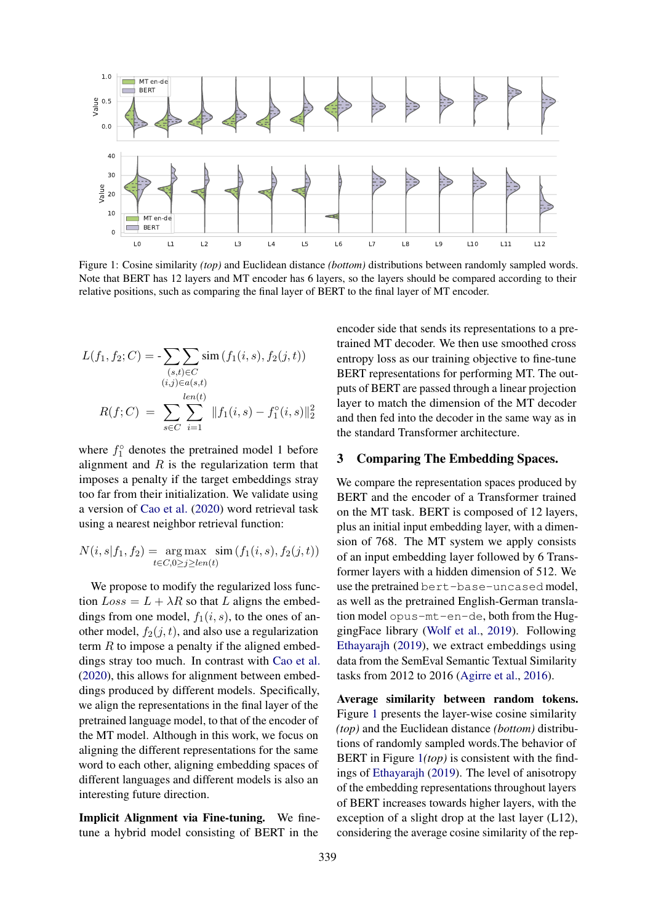<span id="page-2-0"></span>

Figure 1: Cosine similarity *(top)* and Euclidean distance *(bottom)* distributions between randomly sampled words. Note that BERT has 12 layers and MT encoder has 6 layers, so the layers should be compared according to their relative positions, such as comparing the final layer of BERT to the final layer of MT encoder.

$$
L(f_1, f_2; C) = -\sum_{\substack{(s,t) \in C \\ (i,j) \in a(s,t)}} \text{sim} \left(f_1(i, s), f_2(j, t)\right)
$$

$$
R(f; C) = \sum_{s \in C} \sum_{i=1}^{\text{len}(t)} ||f_1(i, s) - f_1^{\circ}(i, s)||_2^2
$$

where  $f_1^{\circ}$  denotes the pretrained model 1 before alignment and  $R$  is the regularization term that imposes a penalty if the target embeddings stray too far from their initialization. We validate using a version of [Cao et al.](#page-8-3) [\(2020\)](#page-8-3) word retrieval task using a nearest neighbor retrieval function:

$$
N(i, s | f_1, f_2) = \underset{t \in C, 0 \ge j \ge len(t)}{\arg \max} \ \underset{t \in T, 0 \ge j \ge len(t)}{\sin \left(f_1(i, s), f_2(j, t)\right)}
$$

We propose to modify the regularized loss function  $Loss = L + \lambda R$  so that L aligns the embeddings from one model,  $f_1(i, s)$ , to the ones of another model,  $f_2(j, t)$ , and also use a regularization term  $R$  to impose a penalty if the aligned embeddings stray too much. In contrast with [Cao et al.](#page-8-3) [\(2020\)](#page-8-3), this allows for alignment between embeddings produced by different models. Specifically, we align the representations in the final layer of the pretrained language model, to that of the encoder of the MT model. Although in this work, we focus on aligning the different representations for the same word to each other, aligning embedding spaces of different languages and different models is also an interesting future direction.

Implicit Alignment via Fine-tuning. We finetune a hybrid model consisting of BERT in the

encoder side that sends its representations to a pretrained MT decoder. We then use smoothed cross entropy loss as our training objective to fine-tune BERT representations for performing MT. The outputs of BERT are passed through a linear projection layer to match the dimension of the MT decoder and then fed into the decoder in the same way as in the standard Transformer architecture.

#### 3 Comparing The Embedding Spaces.

We compare the representation spaces produced by BERT and the encoder of a Transformer trained on the MT task. BERT is composed of 12 layers, plus an initial input embedding layer, with a dimension of 768. The MT system we apply consists of an input embedding layer followed by 6 Transformer layers with a hidden dimension of 512. We use the pretrained bert-base-uncased model, as well as the pretrained English-German translation model opus-mt-en-de, both from the HuggingFace library [\(Wolf et al.,](#page-10-5) [2019\)](#page-10-5). Following [Ethayarajh](#page-9-6) [\(2019\)](#page-9-6), we extract embeddings using data from the SemEval Semantic Textual Similarity tasks from 2012 to 2016 [\(Agirre et al.,](#page-8-5) [2016\)](#page-8-5).

Average similarity between random tokens. Figure [1](#page-2-0) presents the layer-wise cosine similarity *(top)* and the Euclidean distance *(bottom)* distributions of randomly sampled words.The behavior of BERT in Figure [1](#page-2-0)*(top)* is consistent with the findings of [Ethayarajh](#page-9-6) [\(2019\)](#page-9-6). The level of anisotropy of the embedding representations throughout layers of BERT increases towards higher layers, with the exception of a slight drop at the last layer (L12), considering the average cosine similarity of the rep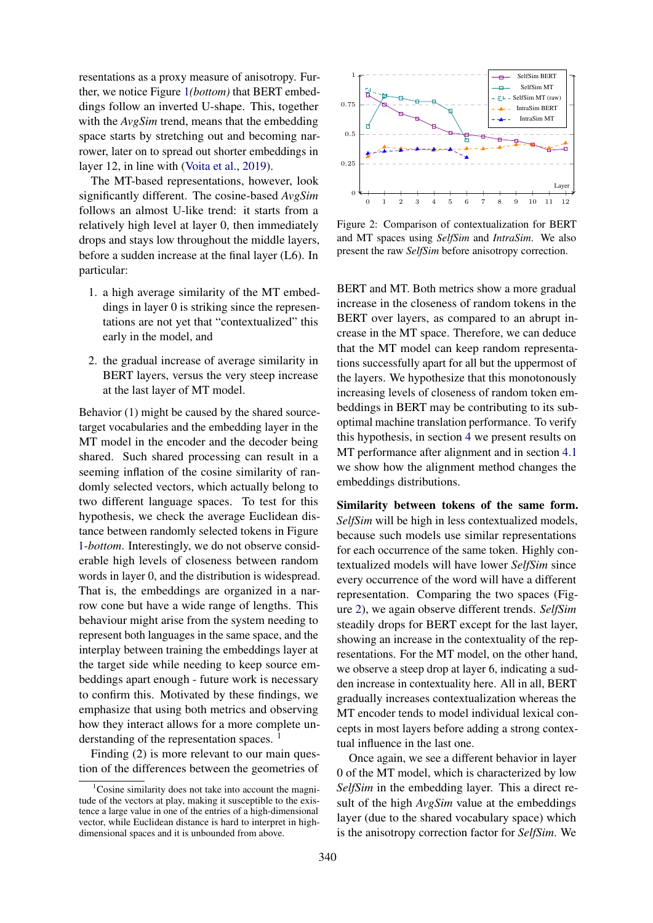resentations as a proxy measure of anisotropy. Further, we notice Figure [1](#page-2-0)*(bottom)* that BERT embeddings follow an inverted U-shape. This, together with the *AvgSim* trend, means that the embedding space starts by stretching out and becoming narrower, later on to spread out shorter embeddings in layer 12, in line with [\(Voita et al.,](#page-10-6) [2019\)](#page-10-6).

The MT-based representations, however, look significantly different. The cosine-based *AvgSim* follows an almost U-like trend: it starts from a relatively high level at layer 0, then immediately drops and stays low throughout the middle layers, before a sudden increase at the final layer (L6). In particular:

- 1. a high average similarity of the MT embeddings in layer 0 is striking since the representations are not yet that "contextualized" this early in the model, and
- 2. the gradual increase of average similarity in BERT layers, versus the very steep increase at the last layer of MT model.

Behavior (1) might be caused by the shared sourcetarget vocabularies and the embedding layer in the MT model in the encoder and the decoder being shared. Such shared processing can result in a seeming inflation of the cosine similarity of randomly selected vectors, which actually belong to two different language spaces. To test for this hypothesis, we check the average Euclidean distance between randomly selected tokens in Figure [1](#page-2-0)*-bottom*. Interestingly, we do not observe considerable high levels of closeness between random words in layer 0, and the distribution is widespread. That is, the embeddings are organized in a narrow cone but have a wide range of lengths. This behaviour might arise from the system needing to represent both languages in the same space, and the interplay between training the embeddings layer at the target side while needing to keep source embeddings apart enough - future work is necessary to confirm this. Motivated by these findings, we emphasize that using both metrics and observing how they interact allows for a more complete un-derstanding of the representation spaces.<sup>[1](#page-3-0)</sup>

Finding (2) is more relevant to our main question of the differences between the geometries of

<span id="page-3-1"></span>

Figure 2: Comparison of contextualization for BERT and MT spaces using *SelfSim* and *IntraSim*. We also present the raw *SelfSim* before anisotropy correction.

BERT and MT. Both metrics show a more gradual increase in the closeness of random tokens in the BERT over layers, as compared to an abrupt increase in the MT space. Therefore, we can deduce that the MT model can keep random representations successfully apart for all but the uppermost of the layers. We hypothesize that this monotonously increasing levels of closeness of random token embeddings in BERT may be contributing to its suboptimal machine translation performance. To verify this hypothesis, in section [4](#page-5-0) we present results on MT performance after alignment and in section [4.1](#page-6-0) we show how the alignment method changes the embeddings distributions.

Similarity between tokens of the same form. *SelfSim* will be high in less contextualized models, because such models use similar representations for each occurrence of the same token. Highly contextualized models will have lower *SelfSim* since every occurrence of the word will have a different representation. Comparing the two spaces (Figure [2\)](#page-3-1), we again observe different trends. *SelfSim* steadily drops for BERT except for the last layer, showing an increase in the contextuality of the representations. For the MT model, on the other hand, we observe a steep drop at layer 6, indicating a sudden increase in contextuality here. All in all, BERT gradually increases contextualization whereas the MT encoder tends to model individual lexical concepts in most layers before adding a strong contextual influence in the last one.

Once again, we see a different behavior in layer 0 of the MT model, which is characterized by low *SelfSim* in the embedding layer. This a direct result of the high *AvgSim* value at the embeddings layer (due to the shared vocabulary space) which is the anisotropy correction factor for *SelfSim*. We

<span id="page-3-0"></span><sup>&</sup>lt;sup>1</sup>Cosine similarity does not take into account the magnitude of the vectors at play, making it susceptible to the existence a large value in one of the entries of a high-dimensional vector, while Euclidean distance is hard to interpret in highdimensional spaces and it is unbounded from above.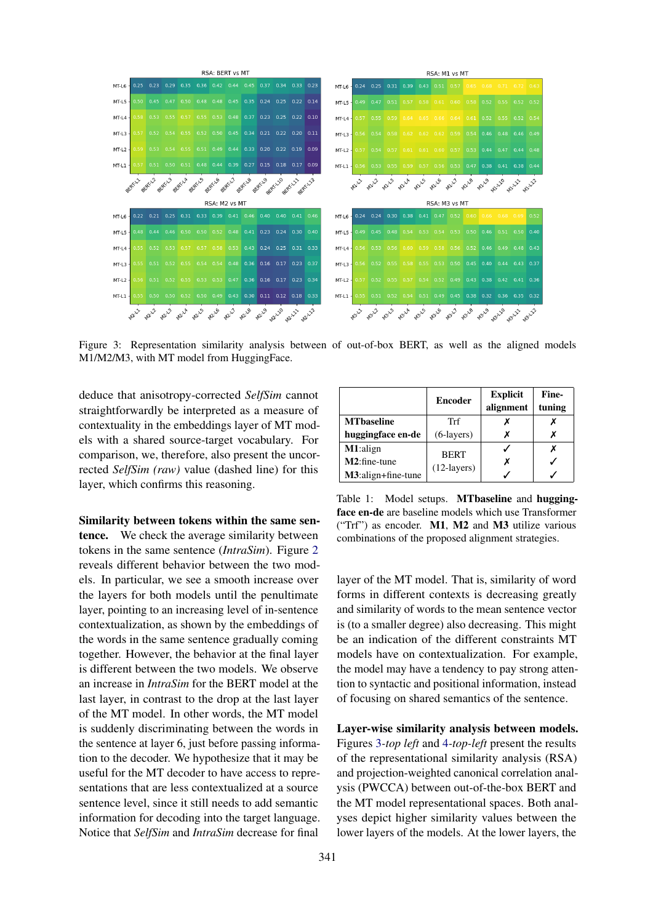<span id="page-4-0"></span>

Figure 3: Representation similarity analysis between of out-of-box BERT, as well as the aligned models M1/M2/M3, with MT model from HuggingFace.

deduce that anisotropy-corrected *SelfSim* cannot straightforwardly be interpreted as a measure of contextuality in the embeddings layer of MT models with a shared source-target vocabulary. For comparison, we, therefore, also present the uncorrected *SelfSim (raw)* value (dashed line) for this layer, which confirms this reasoning.

Similarity between tokens within the same sentence. We check the average similarity between tokens in the same sentence (*IntraSim*). Figure [2](#page-3-1) reveals different behavior between the two models. In particular, we see a smooth increase over the layers for both models until the penultimate layer, pointing to an increasing level of in-sentence contextualization, as shown by the embeddings of the words in the same sentence gradually coming together. However, the behavior at the final layer is different between the two models. We observe an increase in *IntraSim* for the BERT model at the last layer, in contrast to the drop at the last layer of the MT model. In other words, the MT model is suddenly discriminating between the words in the sentence at layer 6, just before passing information to the decoder. We hypothesize that it may be useful for the MT decoder to have access to representations that are less contextualized at a source sentence level, since it still needs to add semantic information for decoding into the target language. Notice that *SelfSim* and *IntraSim* decrease for final

<span id="page-4-1"></span>

|                    | <b>Encoder</b> | <b>Explicit</b><br>alignment | Fine-<br>tuning |
|--------------------|----------------|------------------------------|-----------------|
| <b>MT</b> baseline | Trf            |                              |                 |
| huggingface en-de  | $(6$ -layers)  |                              | х               |
| M1:align           | <b>BERT</b>    |                              | х               |
| $M2:$ fine-tune    | $(12$ -layers) |                              |                 |
| M3:align+fine-tune |                |                              |                 |

Table 1: Model setups. MTbaseline and huggingface en-de are baseline models which use Transformer ("Trf") as encoder. M1, M2 and M3 utilize various combinations of the proposed alignment strategies.

layer of the MT model. That is, similarity of word forms in different contexts is decreasing greatly and similarity of words to the mean sentence vector is (to a smaller degree) also decreasing. This might be an indication of the different constraints MT models have on contextualization. For example, the model may have a tendency to pay strong attention to syntactic and positional information, instead of focusing on shared semantics of the sentence.

Layer-wise similarity analysis between models. Figures [3](#page-4-0)*-top left* and [4](#page-5-1)*-top-left* present the results of the representational similarity analysis (RSA) and projection-weighted canonical correlation analysis (PWCCA) between out-of-the-box BERT and the MT model representational spaces. Both analyses depict higher similarity values between the lower layers of the models. At the lower layers, the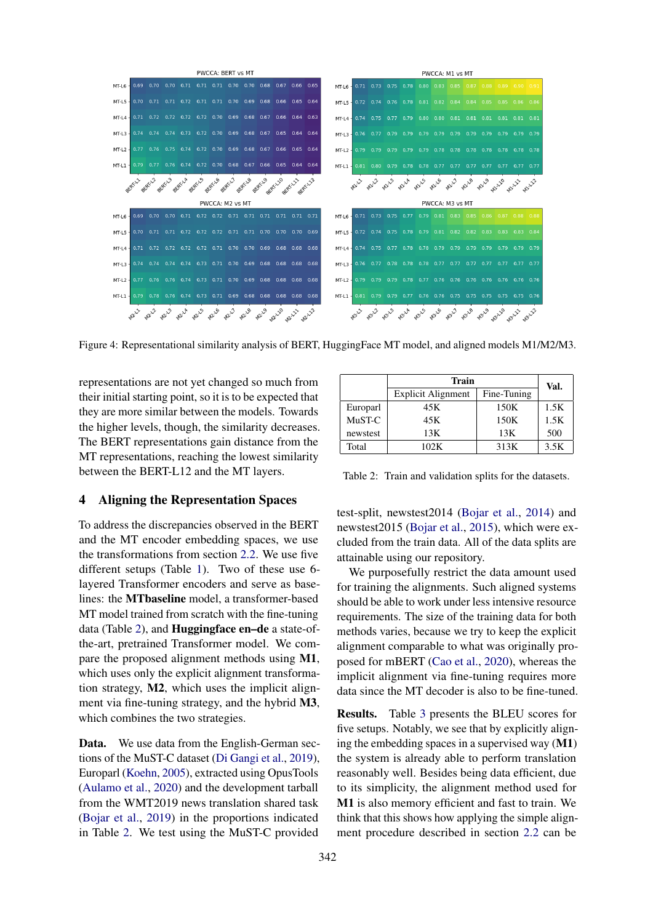<span id="page-5-1"></span>

Figure 4: Representational similarity analysis of BERT, HuggingFace MT model, and aligned models M1/M2/M3.

representations are not yet changed so much from their initial starting point, so it is to be expected that they are more similar between the models. Towards the higher levels, though, the similarity decreases. The BERT representations gain distance from the MT representations, reaching the lowest similarity between the BERT-L12 and the MT layers.

# <span id="page-5-0"></span>4 Aligning the Representation Spaces

To address the discrepancies observed in the BERT and the MT encoder embedding spaces, we use the transformations from section [2.2.](#page-1-0) We use five different setups (Table [1\)](#page-4-1). Two of these use 6 layered Transformer encoders and serve as baselines: the MTbaseline model, a transformer-based MT model trained from scratch with the fine-tuning data (Table [2\)](#page-5-2), and Huggingface en–de a state-ofthe-art, pretrained Transformer model. We compare the proposed alignment methods using M1, which uses only the explicit alignment transformation strategy, M2, which uses the implicit alignment via fine-tuning strategy, and the hybrid M3, which combines the two strategies.

Data. We use data from the English-German sections of the MuST-C dataset [\(Di Gangi et al.,](#page-9-10) [2019\)](#page-9-10), Europarl [\(Koehn,](#page-9-11) [2005\)](#page-9-11), extracted using OpusTools [\(Aulamo et al.,](#page-8-6) [2020\)](#page-8-6) and the development tarball from the WMT2019 news translation shared task [\(Bojar et al.,](#page-8-7) [2019\)](#page-8-7) in the proportions indicated in Table [2.](#page-5-2) We test using the MuST-C provided

<span id="page-5-2"></span>

|          | Train                     |             | Val. |  |
|----------|---------------------------|-------------|------|--|
|          | <b>Explicit Alignment</b> | Fine-Tuning |      |  |
| Europarl | 45K                       | 150K        | 1.5K |  |
| MuST-C   | 45K                       | 150K        | 1.5K |  |
| newstest | 13K                       | 13K         | 500  |  |
| Total    | 102K                      | 313K        | 3.5K |  |

Table 2: Train and validation splits for the datasets.

test-split, newstest2014 [\(Bojar et al.,](#page-8-8) [2014\)](#page-8-8) and newstest2015 [\(Bojar et al.,](#page-8-9) [2015\)](#page-8-9), which were excluded from the train data. All of the data splits are attainable using our repository.

We purposefully restrict the data amount used for training the alignments. Such aligned systems should be able to work under less intensive resource requirements. The size of the training data for both methods varies, because we try to keep the explicit alignment comparable to what was originally proposed for mBERT [\(Cao et al.,](#page-8-3) [2020\)](#page-8-3), whereas the implicit alignment via fine-tuning requires more data since the MT decoder is also to be fine-tuned.

Results. Table [3](#page-6-1) presents the BLEU scores for five setups. Notably, we see that by explicitly aligning the embedding spaces in a supervised way  $(M1)$ the system is already able to perform translation reasonably well. Besides being data efficient, due to its simplicity, the alignment method used for M1 is also memory efficient and fast to train. We think that this shows how applying the simple alignment procedure described in section [2.2](#page-1-0) can be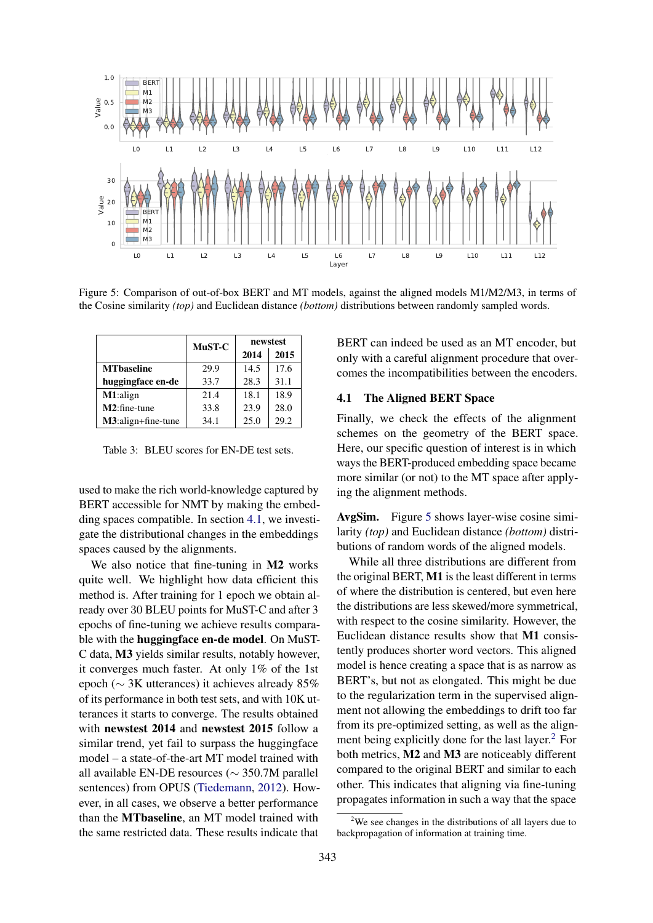<span id="page-6-2"></span>

Figure 5: Comparison of out-of-box BERT and MT models, against the aligned models M1/M2/M3, in terms of the Cosine similarity *(top)* and Euclidean distance *(bottom)* distributions between randomly sampled words.

<span id="page-6-1"></span>

|                    | MuST-C | newstest |      |
|--------------------|--------|----------|------|
|                    |        | 2014     | 2015 |
| <b>MT</b> baseline | 29.9   | 14.5     | 17.6 |
| huggingface en-de  | 33.7   | 28.3     | 31.1 |
| M1:align           | 21.4   | 18.1     | 18.9 |
| $M2:$ fine-tune    | 33.8   | 23.9     | 28.0 |
| M3:align+fine-tune | 34.1   | 25.0     | 29.2 |

Table 3: BLEU scores for EN-DE test sets.

used to make the rich world-knowledge captured by BERT accessible for NMT by making the embedding spaces compatible. In section [4.1,](#page-6-0) we investigate the distributional changes in the embeddings spaces caused by the alignments.

We also notice that fine-tuning in M2 works quite well. We highlight how data efficient this method is. After training for 1 epoch we obtain already over 30 BLEU points for MuST-C and after 3 epochs of fine-tuning we achieve results comparable with the huggingface en-de model. On MuST-C data, M3 yields similar results, notably however, it converges much faster. At only 1% of the 1st epoch (∼ 3K utterances) it achieves already 85% of its performance in both test sets, and with 10K utterances it starts to converge. The results obtained with newstest 2014 and newstest 2015 follow a similar trend, yet fail to surpass the huggingface model – a state-of-the-art MT model trained with all available EN-DE resources (∼ 350.7M parallel sentences) from OPUS [\(Tiedemann,](#page-10-7) [2012\)](#page-10-7). However, in all cases, we observe a better performance than the MTbaseline, an MT model trained with the same restricted data. These results indicate that

BERT can indeed be used as an MT encoder, but only with a careful alignment procedure that overcomes the incompatibilities between the encoders.

#### <span id="page-6-0"></span>4.1 The Aligned BERT Space

Finally, we check the effects of the alignment schemes on the geometry of the BERT space. Here, our specific question of interest is in which ways the BERT-produced embedding space became more similar (or not) to the MT space after applying the alignment methods.

AvgSim. Figure [5](#page-6-2) shows layer-wise cosine similarity *(top)* and Euclidean distance *(bottom)* distributions of random words of the aligned models.

While all three distributions are different from the original BERT, M1 is the least different in terms of where the distribution is centered, but even here the distributions are less skewed/more symmetrical, with respect to the cosine similarity. However, the Euclidean distance results show that M1 consistently produces shorter word vectors. This aligned model is hence creating a space that is as narrow as BERT's, but not as elongated. This might be due to the regularization term in the supervised alignment not allowing the embeddings to drift too far from its pre-optimized setting, as well as the alignment being explicitly done for the last layer. $<sup>2</sup>$  $<sup>2</sup>$  $<sup>2</sup>$  For</sup> both metrics, M2 and M3 are noticeably different compared to the original BERT and similar to each other. This indicates that aligning via fine-tuning propagates information in such a way that the space

<span id="page-6-3"></span> $2$ We see changes in the distributions of all layers due to backpropagation of information at training time.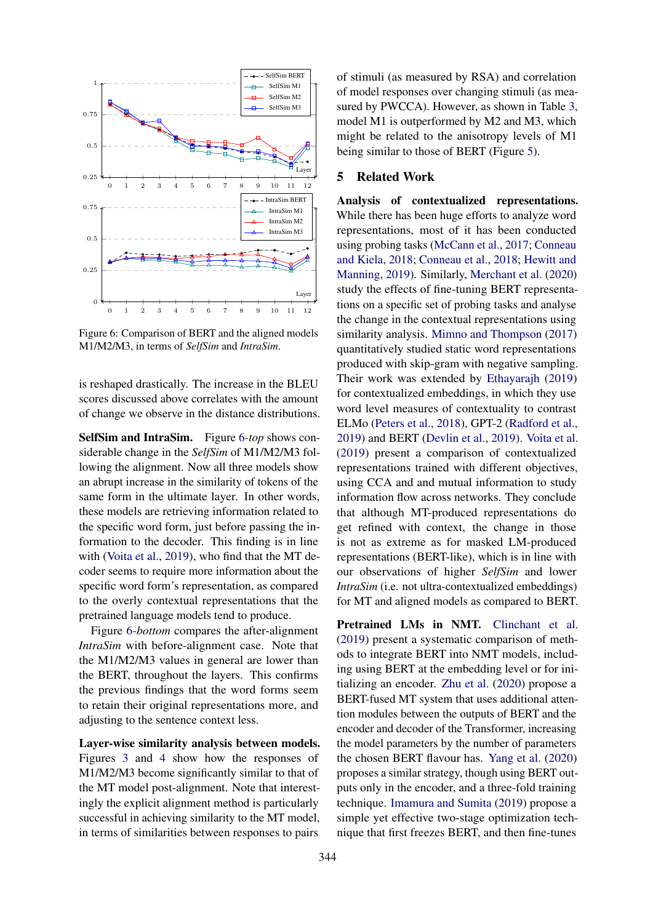<span id="page-7-0"></span>

Figure 6: Comparison of BERT and the aligned models M1/M2/M3, in terms of *SelfSim* and *IntraSim*.

is reshaped drastically. The increase in the BLEU scores discussed above correlates with the amount of change we observe in the distance distributions.

SelfSim and IntraSim. Figure [6](#page-7-0)*-top* shows considerable change in the *SelfSim* of M1/M2/M3 following the alignment. Now all three models show an abrupt increase in the similarity of tokens of the same form in the ultimate layer. In other words, these models are retrieving information related to the specific word form, just before passing the information to the decoder. This finding is in line with [\(Voita et al.,](#page-10-6) [2019\)](#page-10-6), who find that the MT decoder seems to require more information about the specific word form's representation, as compared to the overly contextual representations that the pretrained language models tend to produce.

Figure [6](#page-7-0)*-bottom* compares the after-alignment *IntraSim* with before-alignment case. Note that the M1/M2/M3 values in general are lower than the BERT, throughout the layers. This confirms the previous findings that the word forms seem to retain their original representations more, and adjusting to the sentence context less.

Layer-wise similarity analysis between models. Figures [3](#page-4-0) and [4](#page-5-1) show how the responses of M1/M2/M3 become significantly similar to that of the MT model post-alignment. Note that interestingly the explicit alignment method is particularly successful in achieving similarity to the MT model, in terms of similarities between responses to pairs

of stimuli (as measured by RSA) and correlation of model responses over changing stimuli (as measured by PWCCA). However, as shown in Table [3,](#page-6-1) model M1 is outperformed by M2 and M3, which might be related to the anisotropy levels of M1 being similar to those of BERT (Figure [5\)](#page-6-2).

## 5 Related Work

Analysis of contextualized representations. While there has been huge efforts to analyze word representations, most of it has been conducted using probing tasks [\(McCann et al.,](#page-9-12) [2017;](#page-9-12) [Conneau](#page-9-13) [and Kiela,](#page-9-13) [2018;](#page-9-13) [Conneau et al.,](#page-9-14) [2018;](#page-9-14) [Hewitt and](#page-9-15) [Manning,](#page-9-15) [2019\)](#page-9-15). Similarly, [Merchant et al.](#page-9-3) [\(2020\)](#page-9-3) study the effects of fine-tuning BERT representations on a specific set of probing tasks and analyse the change in the contextual representations using similarity analysis. [Mimno and Thompson](#page-9-16) [\(2017\)](#page-9-16) quantitatively studied static word representations produced with skip-gram with negative sampling. Their work was extended by [Ethayarajh](#page-9-6) [\(2019\)](#page-9-6) for contextualized embeddings, in which they use word level measures of contextuality to contrast ELMo [\(Peters et al.,](#page-10-8) [2018\)](#page-10-8), GPT-2 [\(Radford et al.,](#page-10-9) [2019\)](#page-10-9) and BERT [\(Devlin et al.,](#page-9-0) [2019\)](#page-9-0). [Voita et al.](#page-10-6) [\(2019\)](#page-10-6) present a comparison of contextualized representations trained with different objectives, using CCA and and mutual information to study information flow across networks. They conclude that although MT-produced representations do get refined with context, the change in those is not as extreme as for masked LM-produced representations (BERT-like), which is in line with our observations of higher *SelfSim* and lower *IntraSim* (*i.e.* not ultra-contextualized embeddings) for MT and aligned models as compared to BERT.

Pretrained LMs in NMT. [Clinchant et al.](#page-8-0) [\(2019\)](#page-8-0) present a systematic comparison of methods to integrate BERT into NMT models, including using BERT at the embedding level or for initializing an encoder. [Zhu et al.](#page-10-10) [\(2020\)](#page-10-10) propose a BERT-fused MT system that uses additional attention modules between the outputs of BERT and the encoder and decoder of the Transformer, increasing the model parameters by the number of parameters the chosen BERT flavour has. [Yang et al.](#page-10-11) [\(2020\)](#page-10-11) proposes a similar strategy, though using BERT outputs only in the encoder, and a three-fold training technique. [Imamura and Sumita](#page-9-17) [\(2019\)](#page-9-17) propose a simple yet effective two-stage optimization technique that first freezes BERT, and then fine-tunes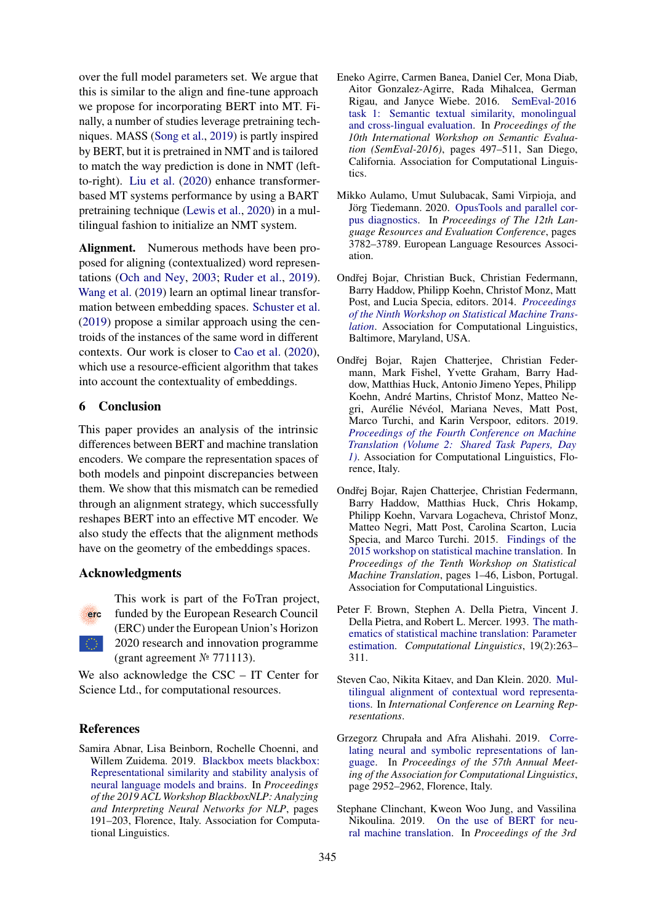over the full model parameters set. We argue that this is similar to the align and fine-tune approach we propose for incorporating BERT into MT. Finally, a number of studies leverage pretraining techniques. MASS [\(Song et al.,](#page-10-0) [2019\)](#page-10-0) is partly inspired by BERT, but it is pretrained in NMT and is tailored to match the way prediction is done in NMT (leftto-right). [Liu et al.](#page-9-18) [\(2020\)](#page-9-18) enhance transformerbased MT systems performance by using a BART pretraining technique [\(Lewis et al.,](#page-9-1) [2020\)](#page-9-1) in a multilingual fashion to initialize an NMT system.

Alignment. Numerous methods have been proposed for aligning (contextualized) word representations [\(Och and Ney,](#page-10-4) [2003;](#page-10-4) [Ruder et al.,](#page-10-12) [2019\)](#page-10-12). [Wang et al.](#page-10-13) [\(2019\)](#page-10-13) learn an optimal linear transformation between embedding spaces. [Schuster et al.](#page-10-14) [\(2019\)](#page-10-14) propose a similar approach using the centroids of the instances of the same word in different contexts. Our work is closer to [Cao et al.](#page-8-3) [\(2020\)](#page-8-3), which use a resource-efficient algorithm that takes into account the contextuality of embeddings.

## 6 Conclusion

This paper provides an analysis of the intrinsic differences between BERT and machine translation encoders. We compare the representation spaces of both models and pinpoint discrepancies between them. We show that this mismatch can be remedied through an alignment strategy, which successfully reshapes BERT into an effective MT encoder. We also study the effects that the alignment methods have on the geometry of the embeddings spaces.

# Acknowledgments



This work is part of the FoTran project, funded by the European Research Council (ERC) under the European Union's Horizon 2020 research and innovation programme (grant agreement № 771113).

We also acknowledge the CSC – IT Center for Science Ltd., for computational resources.

## References

<span id="page-8-2"></span>Samira Abnar, Lisa Beinborn, Rochelle Choenni, and Willem Zuidema. 2019. [Blackbox meets blackbox:](https://www.aclweb.org/anthology/W19-4820) [Representational similarity and stability analysis of](https://www.aclweb.org/anthology/W19-4820) [neural language models and brains.](https://www.aclweb.org/anthology/W19-4820) In *Proceedings of the 2019 ACL Workshop BlackboxNLP: Analyzing and Interpreting Neural Networks for NLP*, pages 191–203, Florence, Italy. Association for Computational Linguistics.

- <span id="page-8-5"></span>Eneko Agirre, Carmen Banea, Daniel Cer, Mona Diab, Aitor Gonzalez-Agirre, Rada Mihalcea, German Rigau, and Janyce Wiebe. 2016. [SemEval-2016](https://www.aclweb.org/anthology/S16-1081) [task 1: Semantic textual similarity, monolingual](https://www.aclweb.org/anthology/S16-1081) [and cross-lingual evaluation.](https://www.aclweb.org/anthology/S16-1081) In *Proceedings of the 10th International Workshop on Semantic Evaluation (SemEval-2016)*, pages 497–511, San Diego, California. Association for Computational Linguistics.
- <span id="page-8-6"></span>Mikko Aulamo, Umut Sulubacak, Sami Virpioja, and Jörg Tiedemann. 2020. [OpusTools and parallel cor](https://www.aclweb.org/anthology/2020.lrec-1.467)[pus diagnostics.](https://www.aclweb.org/anthology/2020.lrec-1.467) In *Proceedings of The 12th Language Resources and Evaluation Conference*, pages 3782–3789. European Language Resources Association.
- <span id="page-8-8"></span>Ondřej Bojar, Christian Buck, Christian Federmann, Barry Haddow, Philipp Koehn, Christof Monz, Matt Post, and Lucia Specia, editors. 2014. *[Proceedings](https://www.aclweb.org/anthology/W14-3300) [of the Ninth Workshop on Statistical Machine Trans](https://www.aclweb.org/anthology/W14-3300)[lation](https://www.aclweb.org/anthology/W14-3300)*. Association for Computational Linguistics, Baltimore, Maryland, USA.
- <span id="page-8-7"></span>Ondřej Bojar, Rajen Chatterjee, Christian Federmann, Mark Fishel, Yvette Graham, Barry Haddow, Matthias Huck, Antonio Jimeno Yepes, Philipp Koehn, André Martins, Christof Monz, Matteo Negri, Aurélie Névéol, Mariana Neves, Matt Post, Marco Turchi, and Karin Verspoor, editors. 2019. *[Proceedings of the Fourth Conference on Machine](https://www.aclweb.org/anthology/W19-5300) [Translation \(Volume 2: Shared Task Papers, Day](https://www.aclweb.org/anthology/W19-5300) [1\)](https://www.aclweb.org/anthology/W19-5300)*. Association for Computational Linguistics, Florence, Italy.
- <span id="page-8-9"></span>Ondřej Bojar, Rajen Chatterjee, Christian Federmann, Barry Haddow, Matthias Huck, Chris Hokamp, Philipp Koehn, Varvara Logacheva, Christof Monz, Matteo Negri, Matt Post, Carolina Scarton, Lucia Specia, and Marco Turchi. 2015. [Findings of the](https://doi.org/10.18653/v1/W15-3001) [2015 workshop on statistical machine translation.](https://doi.org/10.18653/v1/W15-3001) In *Proceedings of the Tenth Workshop on Statistical Machine Translation*, pages 1–46, Lisbon, Portugal. Association for Computational Linguistics.
- <span id="page-8-4"></span>Peter F. Brown, Stephen A. Della Pietra, Vincent J. Della Pietra, and Robert L. Mercer. 1993. [The math](https://www.aclweb.org/anthology/J93-2003)[ematics of statistical machine translation: Parameter](https://www.aclweb.org/anthology/J93-2003) [estimation.](https://www.aclweb.org/anthology/J93-2003) *Computational Linguistics*, 19(2):263– 311.
- <span id="page-8-3"></span>Steven Cao, Nikita Kitaev, and Dan Klein. 2020. [Mul](https://openreview.net/forum?id=r1xCMyBtPS)[tilingual alignment of contextual word representa](https://openreview.net/forum?id=r1xCMyBtPS)[tions.](https://openreview.net/forum?id=r1xCMyBtPS) In *International Conference on Learning Representations*.
- <span id="page-8-1"></span>Grzegorz Chrupała and Afra Alishahi. 2019. [Corre](https://www.aclweb.org/anthology/P19-1283)[lating neural and symbolic representations of lan](https://www.aclweb.org/anthology/P19-1283)[guage.](https://www.aclweb.org/anthology/P19-1283) In *Proceedings of the 57th Annual Meeting of the Association for Computational Linguistics*, page 2952–2962, Florence, Italy.
- <span id="page-8-0"></span>Stephane Clinchant, Kweon Woo Jung, and Vassilina Nikoulina. 2019. [On the use of BERT for neu](https://doi.org/10.18653/v1/D19-5611)[ral machine translation.](https://doi.org/10.18653/v1/D19-5611) In *Proceedings of the 3rd*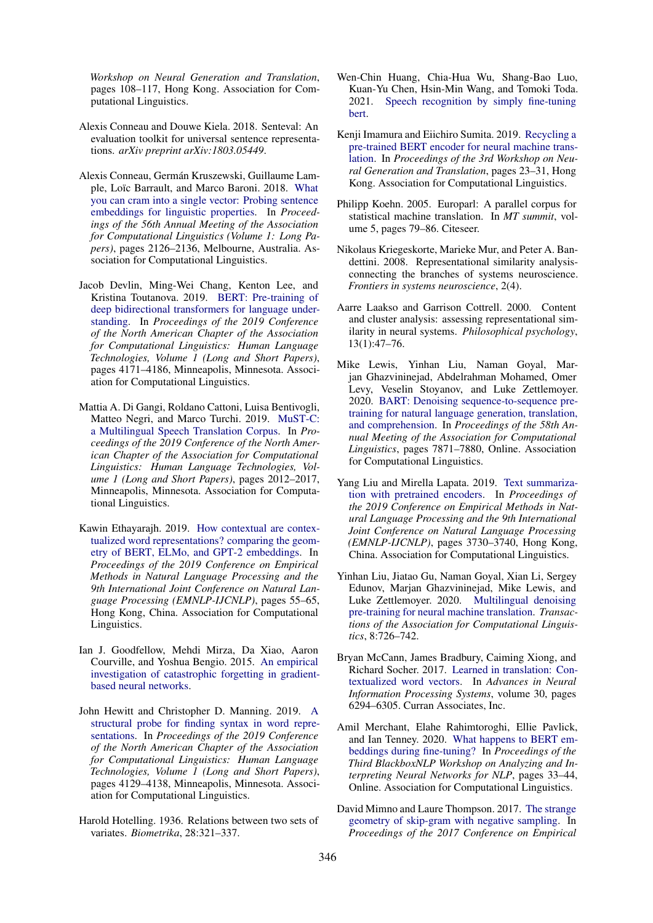*Workshop on Neural Generation and Translation*, pages 108–117, Hong Kong. Association for Computational Linguistics.

- <span id="page-9-13"></span>Alexis Conneau and Douwe Kiela. 2018. Senteval: An evaluation toolkit for universal sentence representations. *arXiv preprint arXiv:1803.05449*.
- <span id="page-9-14"></span>Alexis Conneau, Germán Kruszewski, Guillaume Lample, Loïc Barrault, and Marco Baroni. 2018. [What](https://www.aclweb.org/anthology/P18-1198) [you can cram into a single vector: Probing sentence](https://www.aclweb.org/anthology/P18-1198) [embeddings for linguistic properties.](https://www.aclweb.org/anthology/P18-1198) In *Proceedings of the 56th Annual Meeting of the Association for Computational Linguistics (Volume 1: Long Papers)*, pages 2126–2136, Melbourne, Australia. Association for Computational Linguistics.
- <span id="page-9-0"></span>Jacob Devlin, Ming-Wei Chang, Kenton Lee, and Kristina Toutanova. 2019. [BERT: Pre-training of](https://doi.org/10.18653/v1/N19-1423) [deep bidirectional transformers for language under](https://doi.org/10.18653/v1/N19-1423)[standing.](https://doi.org/10.18653/v1/N19-1423) In *Proceedings of the 2019 Conference of the North American Chapter of the Association for Computational Linguistics: Human Language Technologies, Volume 1 (Long and Short Papers)*, pages 4171–4186, Minneapolis, Minnesota. Association for Computational Linguistics.
- <span id="page-9-10"></span>Mattia A. Di Gangi, Roldano Cattoni, Luisa Bentivogli, Matteo Negri, and Marco Turchi. 2019. [MuST-C:](https://doi.org/10.18653/v1/N19-1202) [a Multilingual Speech Translation Corpus.](https://doi.org/10.18653/v1/N19-1202) In *Proceedings of the 2019 Conference of the North American Chapter of the Association for Computational Linguistics: Human Language Technologies, Volume 1 (Long and Short Papers)*, pages 2012–2017, Minneapolis, Minnesota. Association for Computational Linguistics.
- <span id="page-9-6"></span>Kawin Ethayarajh. 2019. [How contextual are contex](https://www.aclweb.org/anthology/D19-1006)[tualized word representations? comparing the geom](https://www.aclweb.org/anthology/D19-1006)[etry of BERT, ELMo, and GPT-2 embeddings.](https://www.aclweb.org/anthology/D19-1006) In *Proceedings of the 2019 Conference on Empirical Methods in Natural Language Processing and the 9th International Joint Conference on Natural Language Processing (EMNLP-IJCNLP)*, pages 55–65, Hong Kong, China. Association for Computational Linguistics.
- <span id="page-9-2"></span>Ian J. Goodfellow, Mehdi Mirza, Da Xiao, Aaron Courville, and Yoshua Bengio. 2015. [An empirical](http://arxiv.org/abs/1312.6211) [investigation of catastrophic forgetting in gradient](http://arxiv.org/abs/1312.6211)[based neural networks.](http://arxiv.org/abs/1312.6211)
- <span id="page-9-15"></span>John Hewitt and Christopher D. Manning. 2019. [A](https://doi.org/10.18653/v1/N19-1419) [structural probe for finding syntax in word repre](https://doi.org/10.18653/v1/N19-1419)[sentations.](https://doi.org/10.18653/v1/N19-1419) In *Proceedings of the 2019 Conference of the North American Chapter of the Association for Computational Linguistics: Human Language Technologies, Volume 1 (Long and Short Papers)*, pages 4129–4138, Minneapolis, Minnesota. Association for Computational Linguistics.
- <span id="page-9-9"></span>Harold Hotelling. 1936. Relations between two sets of variates. *Biometrika*, 28:321–337.
- <span id="page-9-5"></span>Wen-Chin Huang, Chia-Hua Wu, Shang-Bao Luo, Kuan-Yu Chen, Hsin-Min Wang, and Tomoki Toda. 2021. [Speech recognition by simply fine-tuning](http://arxiv.org/abs/2102.00291) [bert.](http://arxiv.org/abs/2102.00291)
- <span id="page-9-17"></span>Kenji Imamura and Eiichiro Sumita. 2019. [Recycling a](https://doi.org/10.18653/v1/D19-5603) [pre-trained BERT encoder for neural machine trans](https://doi.org/10.18653/v1/D19-5603)[lation.](https://doi.org/10.18653/v1/D19-5603) In *Proceedings of the 3rd Workshop on Neural Generation and Translation*, pages 23–31, Hong Kong. Association for Computational Linguistics.
- <span id="page-9-11"></span>Philipp Koehn. 2005. Europarl: A parallel corpus for statistical machine translation. In *MT summit*, volume 5, pages 79–86. Citeseer.
- <span id="page-9-8"></span>Nikolaus Kriegeskorte, Marieke Mur, and Peter A. Bandettini. 2008. Representational similarity analysisconnecting the branches of systems neuroscience. *Frontiers in systems neuroscience*, 2(4).
- <span id="page-9-7"></span>Aarre Laakso and Garrison Cottrell. 2000. Content and cluster analysis: assessing representational similarity in neural systems. *Philosophical psychology*, 13(1):47–76.
- <span id="page-9-1"></span>Mike Lewis, Yinhan Liu, Naman Goyal, Marjan Ghazvininejad, Abdelrahman Mohamed, Omer Levy, Veselin Stoyanov, and Luke Zettlemoyer. 2020. [BART: Denoising sequence-to-sequence pre](https://www.aclweb.org/anthology/2020.acl-main.703)[training for natural language generation, translation,](https://www.aclweb.org/anthology/2020.acl-main.703) [and comprehension.](https://www.aclweb.org/anthology/2020.acl-main.703) In *Proceedings of the 58th Annual Meeting of the Association for Computational Linguistics*, pages 7871–7880, Online. Association for Computational Linguistics.
- <span id="page-9-4"></span>Yang Liu and Mirella Lapata. 2019. [Text summariza](https://doi.org/10.18653/v1/D19-1387)[tion with pretrained encoders.](https://doi.org/10.18653/v1/D19-1387) In *Proceedings of the 2019 Conference on Empirical Methods in Natural Language Processing and the 9th International Joint Conference on Natural Language Processing (EMNLP-IJCNLP)*, pages 3730–3740, Hong Kong, China. Association for Computational Linguistics.
- <span id="page-9-18"></span>Yinhan Liu, Jiatao Gu, Naman Goyal, Xian Li, Sergey Edunov, Marjan Ghazvininejad, Mike Lewis, and Luke Zettlemoyer. 2020. [Multilingual denoising](https://www.aclweb.org/anthology/2020.tacl-1.47.pdf) [pre-training for neural machine translation.](https://www.aclweb.org/anthology/2020.tacl-1.47.pdf) *Transactions of the Association for Computational Linguistics*, 8:726–742.
- <span id="page-9-12"></span>Bryan McCann, James Bradbury, Caiming Xiong, and Richard Socher. 2017. [Learned in translation: Con](https://proceedings.neurips.cc/paper/2017/file/20c86a628232a67e7bd46f76fba7ce12-Paper.pdf)[textualized word vectors.](https://proceedings.neurips.cc/paper/2017/file/20c86a628232a67e7bd46f76fba7ce12-Paper.pdf) In *Advances in Neural Information Processing Systems*, volume 30, pages 6294–6305. Curran Associates, Inc.
- <span id="page-9-3"></span>Amil Merchant, Elahe Rahimtoroghi, Ellie Pavlick, and Ian Tenney. 2020. [What happens to BERT em](https://doi.org/10.18653/v1/2020.blackboxnlp-1.4)[beddings during fine-tuning?](https://doi.org/10.18653/v1/2020.blackboxnlp-1.4) In *Proceedings of the Third BlackboxNLP Workshop on Analyzing and Interpreting Neural Networks for NLP*, pages 33–44, Online. Association for Computational Linguistics.
- <span id="page-9-16"></span>David Mimno and Laure Thompson. 2017. [The strange](https://www.aclweb.org/anthology/D17-1308) [geometry of skip-gram with negative sampling.](https://www.aclweb.org/anthology/D17-1308) In *Proceedings of the 2017 Conference on Empirical*